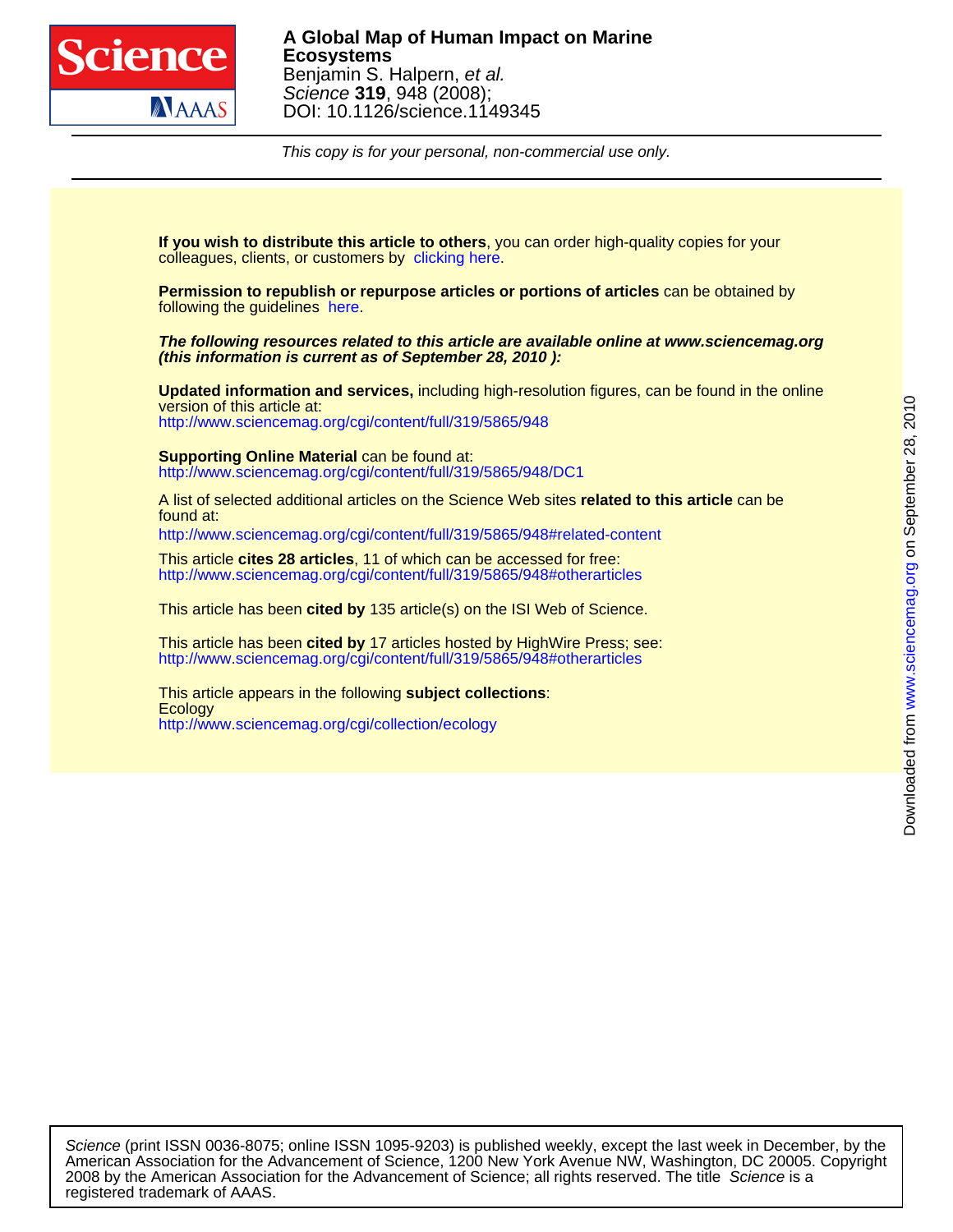

This copy is for your personal, non-commercial use only.

colleagues, clients, or customers by [clicking here.](http://www.sciencemag.org/about/permissions.dtl) **If you wish to distribute this article to others**, you can order high-quality copies for your

following the guidelines [here.](http://www.sciencemag.org/help/about/permissions.dtl) **Permission to republish or repurpose articles or portions of articles** can be obtained by

**(this information is current as of September 28, 2010 ): The following resources related to this article are available online at www.sciencemag.org**

<http://www.sciencemag.org/cgi/content/full/319/5865/948> version of this article at: **Updated information and services,** including high-resolution figures, can be found in the online

<http://www.sciencemag.org/cgi/content/full/319/5865/948/DC1> **Supporting Online Material** can be found at:

found at: A list of selected additional articles on the Science Web sites **related to this article** can be

<http://www.sciencemag.org/cgi/content/full/319/5865/948#related-content>

<http://www.sciencemag.org/cgi/content/full/319/5865/948#otherarticles> This article **cites 28 articles**, 11 of which can be accessed for free:

This article has been **cited by** 135 article(s) on the ISI Web of Science.

<http://www.sciencemag.org/cgi/content/full/319/5865/948#otherarticles> This article has been **cited by** 17 articles hosted by HighWire Press; see:

<http://www.sciencemag.org/cgi/collection/ecology> **Ecology** This article appears in the following **subject collections**:

registered trademark of AAAS. 2008 by the American Association for the Advancement of Science; all rights reserved. The title Science is a American Association for the Advancement of Science, 1200 New York Avenue NW, Washington, DC 20005. Copyright Science (print ISSN 0036-8075; online ISSN 1095-9203) is published weekly, except the last week in December, by the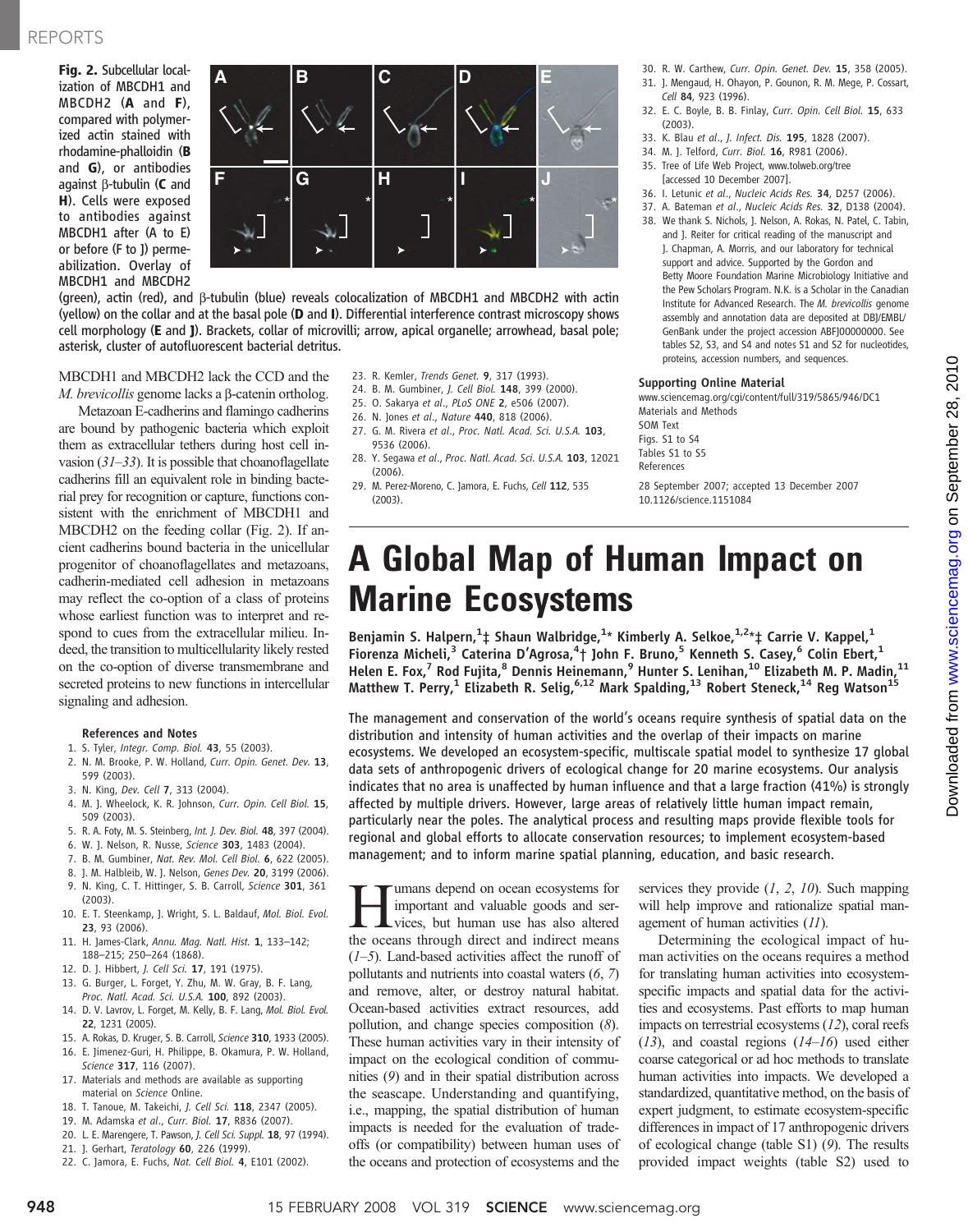Fig. 2. Subcellular localization of MBCDH1 and MBCDH2 (A and F), compared with polymerized actin stained with rhodamine-phalloidin (B and G), or antibodies against  $\beta$ -tubulin (C and H). Cells were exposed to antibodies against MBCDH1 after (A to E) or before (F to J) permeabilization. Overlay of MBCDH1 and MBCDH2



(green), actin (red), and b-tubulin (blue) reveals colocalization of MBCDH1 and MBCDH2 with actin (yellow) on the collar and at the basal pole (D and I). Differential interference contrast microscopy shows cell morphology (E and J). Brackets, collar of microvilli; arrow, apical organelle; arrowhead, basal pole; asterisk, cluster of autofluorescent bacterial detritus.

MBCDH1 and MBCDH2 lack the CCD and the M. brevicollis genome lacks a  $\beta$ -catenin ortholog.

Metazoan E-cadherins and flamingo cadherins are bound by pathogenic bacteria which exploit them as extracellular tethers during host cell invasion  $(31-33)$ . It is possible that choanoflagellate cadherins fill an equivalent role in binding bacterial prey for recognition or capture, functions consistent with the enrichment of MBCDH1 and MBCDH2 on the feeding collar (Fig. 2). If ancient cadherins bound bacteria in the unicellular progenitor of choanoflagellates and metazoans, cadherin-mediated cell adhesion in metazoans may reflect the co-option of a class of proteins whose earliest function was to interpret and respond to cues from the extracellular milieu. Indeed, the transition to multicellularity likely rested on the co-option of diverse transmembrane and secreted proteins to new functions in intercellular signaling and adhesion.

#### References and Notes

- 1. S. Tyler, Integr. Comp. Biol. 43, 55 (2003).
- 2. N. M. Brooke, P. W. Holland, Curr. Opin. Genet. Dev. 13, 599 (2003).
- 3. N. King, Dev. Cell 7, 313 (2004).
- 4. M. J. Wheelock, K. R. Johnson, Curr. Opin. Cell Biol. 15, 509 (2003).
- 5. R. A. Foty, M. S. Steinberg, Int. J. Dev. Biol. 48, 397 (2004).
- 6. W. J. Nelson, R. Nusse, Science 303, 1483 (2004).
- 7. B. M. Gumbiner, Nat. Rev. Mol. Cell Biol. 6, 622 (2005).
- 8. J. M. Halbleib, W. J. Nelson, Genes Dev. 20, 3199 (2006). 9. N. King, C. T. Hittinger, S. B. Carroll, Science 301, 361 (2003).
- 10. E. T. Steenkamp, J. Wright, S. L. Baldauf, Mol. Biol. Evol. 23, 93 (2006).
- 11. H. James-Clark, Annu. Mag. Natl. Hist. 1, 133–142; 188–215; 250–264 (1868).
- 12. D. J. Hibbert, J. Cell Sci. 17, 191 (1975).
- 13. G. Burger, L. Forget, Y. Zhu, M. W. Gray, B. F. Lang, Proc. Natl. Acad. Sci. U.S.A. 100, 892 (2003).
- 14. D. V. Lavrov, L. Forget, M. Kelly, B. F. Lang, Mol. Biol. Evol. 22, 1231 (2005).
- 15. A. Rokas, D. Kruger, S. B. Carroll, Science 310, 1933 (2005).
- 16. E. Jimenez-Guri, H. Philippe, B. Okamura, P. W. Holland, Science 317, 116 (2007).
- 17. Materials and methods are available as supporting material on Science Online.
- 18. T. Tanoue, M. Takeichi, J. Cell Sci. 118, 2347 (2005).
- 19. M. Adamska et al., Curr. Biol. 17, R836 (2007).
- 20. L. E. Marengere, T. Pawson, J. Cell Sci. Suppl. 18, 97 (1994).
- 21. J. Gerhart, Teratology 60, 226 (1999).
- 22. C. Jamora, E. Fuchs, Nat. Cell Biol. 4, E101 (2002).
- 23. R. Kemler, Trends Genet. 9, 317 (1993).
- 24. B. M. Gumbiner, J. Cell Biol. 148, 399 (2000).
- 25. O. Sakarya et al., PLoS ONE 2, e506 (2007).
- 26. N. Jones et al., Nature 440, 818 (2006).
- 27. G. M. Rivera et al., Proc. Natl. Acad. Sci. U.S.A. 103, 9536 (2006).
- 28. Y. Segawa et al., Proc. Natl. Acad. Sci. U.S.A. 103, 12021 (2006).
- 29. M. Perez-Moreno, C. Jamora, E. Fuchs, Cell 112, 535 (2003).
- 30. R. W. Carthew, Curr. Opin. Genet. Dev. 15, 358 (2005).
- 31. J. Mengaud, H. Ohayon, P. Gounon, R. M. Mege, P. Cossart, Cell 84, 923 (1996).
- 32. E. C. Boyle, B. B. Finlay, Curr. Opin. Cell Biol. 15, 633 (2003).
- 33. K. Blau et al., J. Infect. Dis. 195, 1828 (2007).
- 34. M. J. Telford, Curr. Biol. 16, R981 (2006).
- 35. Tree of Life Web Project, www.tolweb.org/tree [accessed 10 December 2007].
- 36. I. Letunic et al., Nucleic Acids Res. 34, D257 (2006).
- 37. A. Bateman et al., Nucleic Acids Res. 32, D138 (2004).
- 38. We thank S. Nichols, J. Nelson, A. Rokas, N. Patel, C. Tabin, and J. Reiter for critical reading of the manuscript and J. Chapman, A. Morris, and our laboratory for technical support and advice. Supported by the Gordon and Betty Moore Foundation Marine Microbiology Initiative and the Pew Scholars Program. N.K. is a Scholar in the Canadian Institute for Advanced Research. The M. brevicollis genome assembly and annotation data are deposited at DBJ/EMBL/ GenBank under the project accession ABFJ00000000. See tables S2, S3, and S4 and notes S1 and S2 for nucleotides, proteins, accession numbers, and sequences.

#### Supporting Online Material

www.sciencemag.org/cgi/content/full/319/5865/946/DC1 Materials and Methods SOM Text

Figs. S1 to S4 Tables S1 to S5 References

28 September 2007; accepted 13 December 2007 10.1126/science.1151084

## A Global Map of Human Impact on Marine Ecosystems

Benjamin S. Halpern, $1\ddagger$  Shaun Walbridge, $1*$  Kimberly A. Selkoe, $1:2* \ddagger$  Carrie V. Kappel, $^1$ Fiorenza Micheli,<sup>3</sup> Caterina D'Agrosa,<sup>4</sup>† John F. Bruno,<sup>5</sup> Kenneth S. Casey,<sup>6</sup> Colin Ebert,<sup>1</sup> Helen E. Fox,<sup>7</sup> Rod Fujita,<sup>8</sup> Dennis Heinemann,<sup>9</sup> Hunter S. Lenihan,<sup>10</sup> Elizabeth M. P. Madin,<sup>11</sup> Matthew T. Perry,<sup>1</sup> Elizabeth R. Selig,  $6.12$  Mark Spalding, <sup>13</sup> Robert Steneck, <sup>14</sup> Reg Watson<sup>15</sup>

The management and conservation of the world's oceans require synthesis of spatial data on the distribution and intensity of human activities and the overlap of their impacts on marine ecosystems. We developed an ecosystem-specific, multiscale spatial model to synthesize 17 global data sets of anthropogenic drivers of ecological change for 20 marine ecosystems. Our analysis indicates that no area is unaffected by human influence and that a large fraction (41%) is strongly affected by multiple drivers. However, large areas of relatively little human impact remain, particularly near the poles. The analytical process and resulting maps provide flexible tools for regional and global efforts to allocate conservation resources; to implement ecosystem-based management; and to inform marine spatial planning, education, and basic research.

**Humans depend on ocean ecosystems for**<br>important and valuable goods and ser-<br>vices, but human use has also altered<br>the oceans through direct and indirect means important and valuable goods and serthe oceans through direct and indirect means  $(1-5)$ . Land-based activities affect the runoff of pollutants and nutrients into coastal waters (6, 7) and remove, alter, or destroy natural habitat. Ocean-based activities extract resources, add pollution, and change species composition (8). These human activities vary in their intensity of impact on the ecological condition of communities (9) and in their spatial distribution across the seascape. Understanding and quantifying, i.e., mapping, the spatial distribution of human impacts is needed for the evaluation of tradeoffs (or compatibility) between human uses of the oceans and protection of ecosystems and the

services they provide  $(1, 2, 10)$ . Such mapping will help improve and rationalize spatial management of human activities (11).

Determining the ecological impact of human activities on the oceans requires a method for translating human activities into ecosystemspecific impacts and spatial data for the activities and ecosystems. Past efforts to map human impacts on terrestrial ecosystems (12), coral reefs  $(13)$ , and coastal regions  $(14–16)$  used either coarse categorical or ad hoc methods to translate human activities into impacts. We developed a standardized, quantitative method, on the basis of expert judgment, to estimate ecosystem-specific differences in impact of 17 anthropogenic drivers of ecological change (table S1) (9). The results provided impact weights (table S2) used to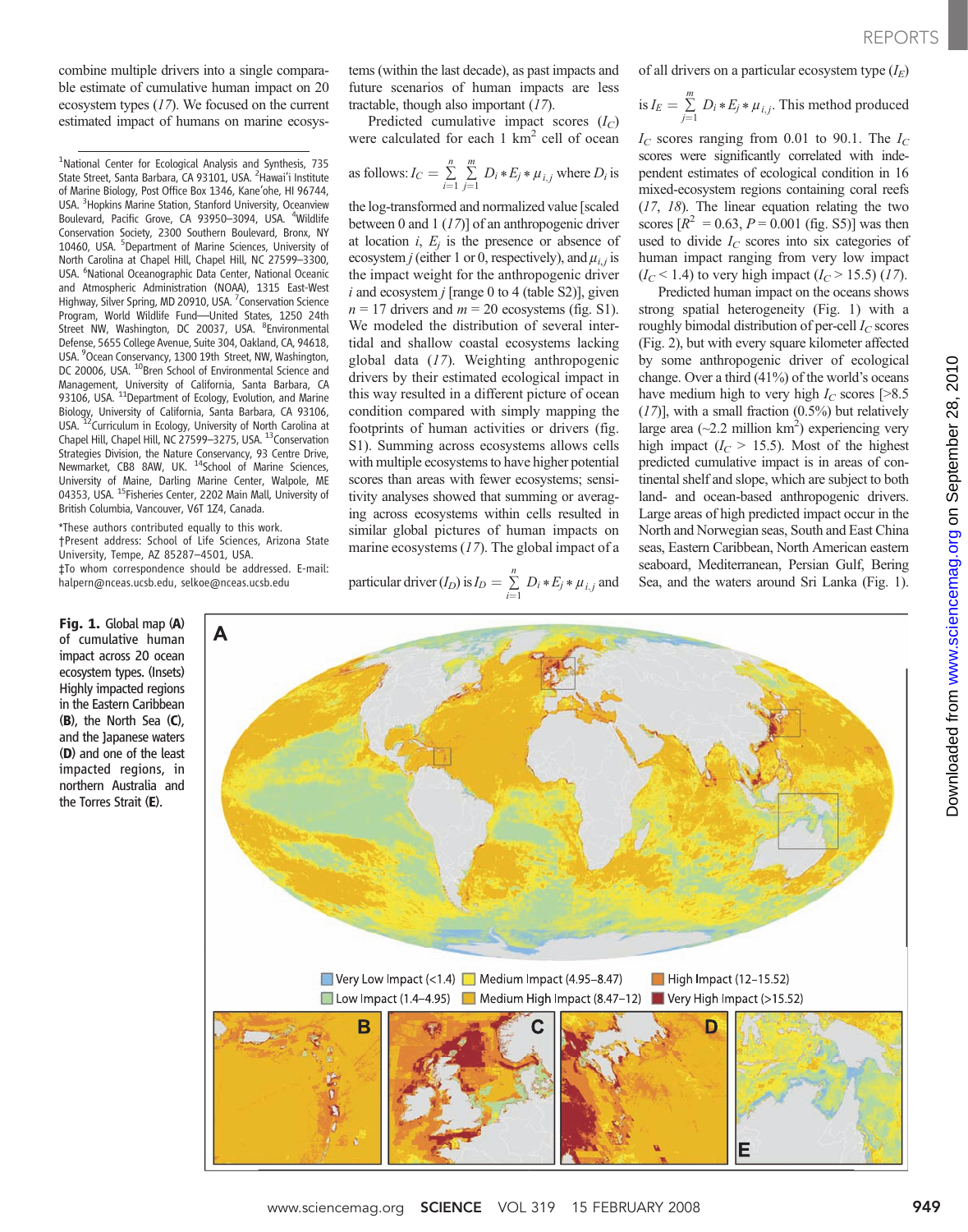combine multiple drivers into a single comparable estimate of cumulative human impact on 20 ecosystem types (17). We focused on the current estimated impact of humans on marine ecosys-

<sup>1</sup>National Center for Ecological Analysis and Synthesis, 735 State Street, Santa Barbara, CA 93101, USA. <sup>2</sup> Hawai'i Institute of Marine Biology, Post Office Box 1346, Kane'ohe, HI 96744, USA. <sup>3</sup> Hopkins Marine Station, Stanford University, Oceanview Boulevard, Pacific Grove, CA 93950-3094, USA. <sup>4</sup>Wildlife Conservation Society, 2300 Southern Boulevard, Bronx, NY 10460, USA. <sup>5</sup>Department of Marine Sciences, University of North Carolina at Chapel Hill, Chapel Hill, NC 27599–3300, USA. <sup>6</sup>National Oceanographic Data Center, National Oceanic and Atmospheric Administration (NOAA), 1315 East-West Highway, Silver Spring, MD 20910, USA. <sup>7</sup> Conservation Science Program, World Wildlife Fund—United States, 1250 24th Street NW, Washington, DC 20037, USA. <sup>8</sup>Environmental Defense, 5655 College Avenue, Suite 304, Oakland, CA, 94618, USA. <sup>9</sup>Ocean Conservancy, 1300 19th Street, NW, Washington, DC 20006, USA. <sup>10</sup>Bren School of Environmental Science and Management, University of California, Santa Barbara, CA<br>93106, USA. <sup>11</sup>Department of Ecology, Evolution, and Marine Biology, University of California, Santa Barbara, CA 93106, USA. <sup>12</sup>Curriculum in Ecology, University of North Carolina at Chapel Hill, Chapel Hill, NC 27599–3275, USA. 13Conservation Strategies Division, the Nature Conservancy, 93 Centre Drive,<br>Newmarket, CB8 8AW, UK. <sup>14</sup>School of Marine Sciences, University of Maine, Darling Marine Center, Walpole, ME 04353, USA. <sup>15</sup>Fisheries Center, 2202 Main Mall, University of British Columbia, Vancouver, V6T 1Z4, Canada.

\*These authors contributed equally to this work. †Present address: School of Life Sciences, Arizona State University, Tempe, AZ 85287–4501, USA. ‡To whom correspondence should be addressed. E-mail: halpern@nceas.ucsb.edu, selkoe@nceas.ucsb.edu

A

Fig. 1. Global map (A) of cumulative human impact across 20 ocean ecosystem types. (Insets) Highly impacted regions in the Eastern Caribbean (B), the North Sea (C), and the Japanese waters (D) and one of the least impacted regions, in northern Australia and the Torres Strait (E).

tems (within the last decade), as past impacts and future scenarios of human impacts are less tractable, though also important (17).

Predicted cumulative impact scores  $(I_C)$ were calculated for each  $1 \text{ km}^2$  cell of ocean

as follows: 
$$
I_C = \sum_{i=1}^{n} \sum_{j=1}^{m} D_i * E_j * \mu_{i,j}
$$
 where  $D_i$  is

the log-transformed and normalized value [scaled between 0 and 1  $(17)$ ] of an anthropogenic driver at location  $i$ ,  $E_i$  is the presence or absence of ecosystem *j* (either 1 or 0, respectively), and  $\mu_i$  is the impact weight for the anthropogenic driver  $i$  and ecosystem  $j$  [range 0 to 4 (table S2)], given  $n = 17$  drivers and  $m = 20$  ecosystems (fig. S1). We modeled the distribution of several intertidal and shallow coastal ecosystems lacking global data (17). Weighting anthropogenic drivers by their estimated ecological impact in this way resulted in a different picture of ocean condition compared with simply mapping the footprints of human activities or drivers (fig. S1). Summing across ecosystems allows cells with multiple ecosystems to have higher potential scores than areas with fewer ecosystems; sensitivity analyses showed that summing or averaging across ecosystems within cells resulted in similar global pictures of human impacts on marine ecosystems (17). The global impact of a

particular driver 
$$
(I_D)
$$
 is  $I_D = \sum_{i=1}^n D_i * E_j * \mu_{i,j}$  and

of all drivers on a particular ecosystem type  $(I_E)$ 

is 
$$
I_E = \sum_{j=1}^{m} D_i * E_j * \mu_{i,j}
$$
. This method produced

 $I_C$  scores ranging from 0.01 to 90.1. The  $I_C$ scores were significantly correlated with independent estimates of ecological condition in 16 mixed-ecosystem regions containing coral reefs (17, 18). The linear equation relating the two scores  $[R^2 = 0.63, P = 0.001$  (fig. S5)] was then used to divide  $I_C$  scores into six categories of human impact ranging from very low impact  $(I_C < 1.4)$  to very high impact  $(I_C > 15.5)$  (17).

Predicted human impact on the oceans shows strong spatial heterogeneity (Fig. 1) with a roughly bimodal distribution of per-cell  $I_C$  scores (Fig. 2), but with every square kilometer affected by some anthropogenic driver of ecological change. Over a third (41%) of the world's oceans have medium high to very high  $I_C$  scores [>8.5]  $(17)$ ], with a small fraction  $(0.5\%)$  but relatively large area (~2.2 million  $km^2$ ) experiencing very high impact  $(I_C > 15.5)$ . Most of the highest predicted cumulative impact is in areas of continental shelf and slope, which are subject to both land- and ocean-based anthropogenic drivers. Large areas of high predicted impact occur in the North and Norwegian seas, South and East China seas, Eastern Caribbean, North American eastern seaboard, Mediterranean, Persian Gulf, Bering Sea, and the waters around Sri Lanka (Fig. 1).



E

Low Impact (1.4-4.95)

B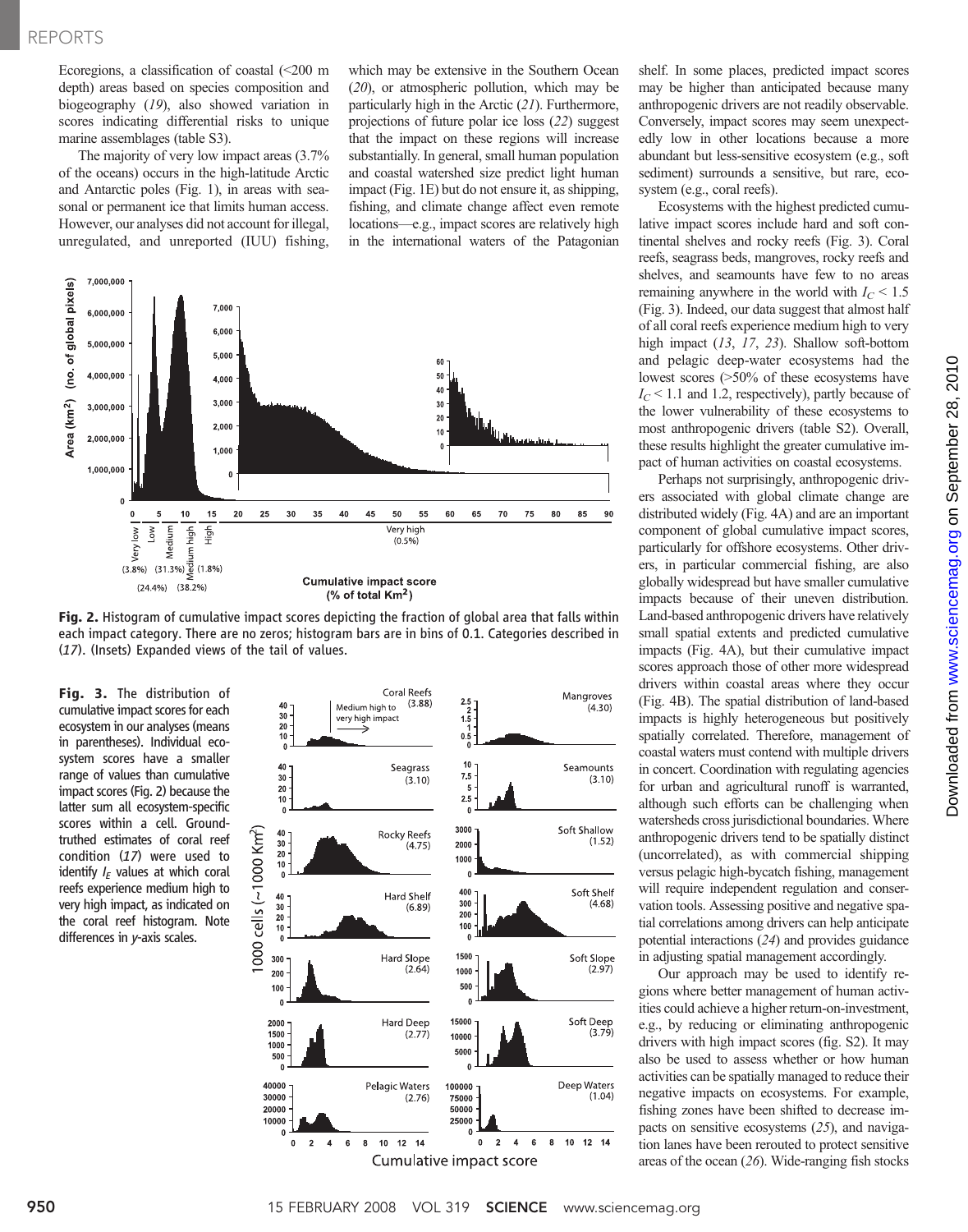Ecoregions, a classification of coastal  $\left($  <200 m depth) areas based on species composition and biogeography (19), also showed variation in scores indicating differential risks to unique marine assemblages (table S3).

The majority of very low impact areas (3.7% of the oceans) occurs in the high-latitude Arctic and Antarctic poles (Fig. 1), in areas with seasonal or permanent ice that limits human access. However, our analyses did not account for illegal, unregulated, and unreported (IUU) fishing,

which may be extensive in the Southern Ocean (20), or atmospheric pollution, which may be particularly high in the Arctic (21). Furthermore, projections of future polar ice loss (22) suggest that the impact on these regions will increase substantially. In general, small human population and coastal watershed size predict light human impact (Fig. 1E) but do not ensure it, as shipping, fishing, and climate change affect even remote locations—e.g., impact scores are relatively high in the international waters of the Patagonian



Fig. 2. Histogram of cumulative impact scores depicting the fraction of global area that falls within each impact category. There are no zeros; histogram bars are in bins of 0.1. Categories described in (17). (Insets) Expanded views of the tail of values.

Fig. 3. The distribution of cumulative impact scores for each ecosystem in our analyses (means in parentheses). Individual ecosystem scores have a smaller range of values than cumulative impact scores (Fig. 2) because the latter sum all ecosystem-specific scores within a cell. Groundtruthed estimates of coral reef condition (17) were used to identify  $I_F$  values at which coral reefs experience medium high to very high impact, as indicated on the coral reef histogram. Note differences in y-axis scales.



shelf. In some places, predicted impact scores may be higher than anticipated because many anthropogenic drivers are not readily observable. Conversely, impact scores may seem unexpectedly low in other locations because a more abundant but less-sensitive ecosystem (e.g., soft sediment) surrounds a sensitive, but rare, ecosystem (e.g., coral reefs).

Ecosystems with the highest predicted cumulative impact scores include hard and soft continental shelves and rocky reefs (Fig. 3). Coral reefs, seagrass beds, mangroves, rocky reefs and shelves, and seamounts have few to no areas remaining anywhere in the world with  $I_C \leq 1.5$ (Fig. 3). Indeed, our data suggest that almost half of all coral reefs experience medium high to very high impact (13, 17, 23). Shallow soft-bottom and pelagic deep-water ecosystems had the lowest scores (>50% of these ecosystems have  $I<sub>C</sub>$  < 1.1 and 1.2, respectively), partly because of the lower vulnerability of these ecosystems to most anthropogenic drivers (table S2). Overall, these results highlight the greater cumulative impact of human activities on coastal ecosystems.

Perhaps not surprisingly, anthropogenic drivers associated with global climate change are distributed widely (Fig. 4A) and are an important component of global cumulative impact scores, particularly for offshore ecosystems. Other drivers, in particular commercial fishing, are also globally widespread but have smaller cumulative impacts because of their uneven distribution. Land-based anthropogenic drivers have relatively small spatial extents and predicted cumulative impacts (Fig. 4A), but their cumulative impact scores approach those of other more widespread drivers within coastal areas where they occur (Fig. 4B). The spatial distribution of land-based impacts is highly heterogeneous but positively spatially correlated. Therefore, management of coastal waters must contend with multiple drivers in concert. Coordination with regulating agencies for urban and agricultural runoff is warranted, although such efforts can be challenging when watersheds cross jurisdictional boundaries. Where anthropogenic drivers tend to be spatially distinct (uncorrelated), as with commercial shipping versus pelagic high-bycatch fishing, management will require independent regulation and conservation tools. Assessing positive and negative spatial correlations among drivers can help anticipate potential interactions (24) and provides guidance in adjusting spatial management accordingly.

Our approach may be used to identify regions where better management of human activities could achieve a higher return-on-investment, e.g., by reducing or eliminating anthropogenic drivers with high impact scores (fig. S2). It may also be used to assess whether or how human activities can be spatially managed to reduce their negative impacts on ecosystems. For example, fishing zones have been shifted to decrease impacts on sensitive ecosystems (25), and navigation lanes have been rerouted to protect sensitive areas of the ocean (26). Wide-ranging fish stocks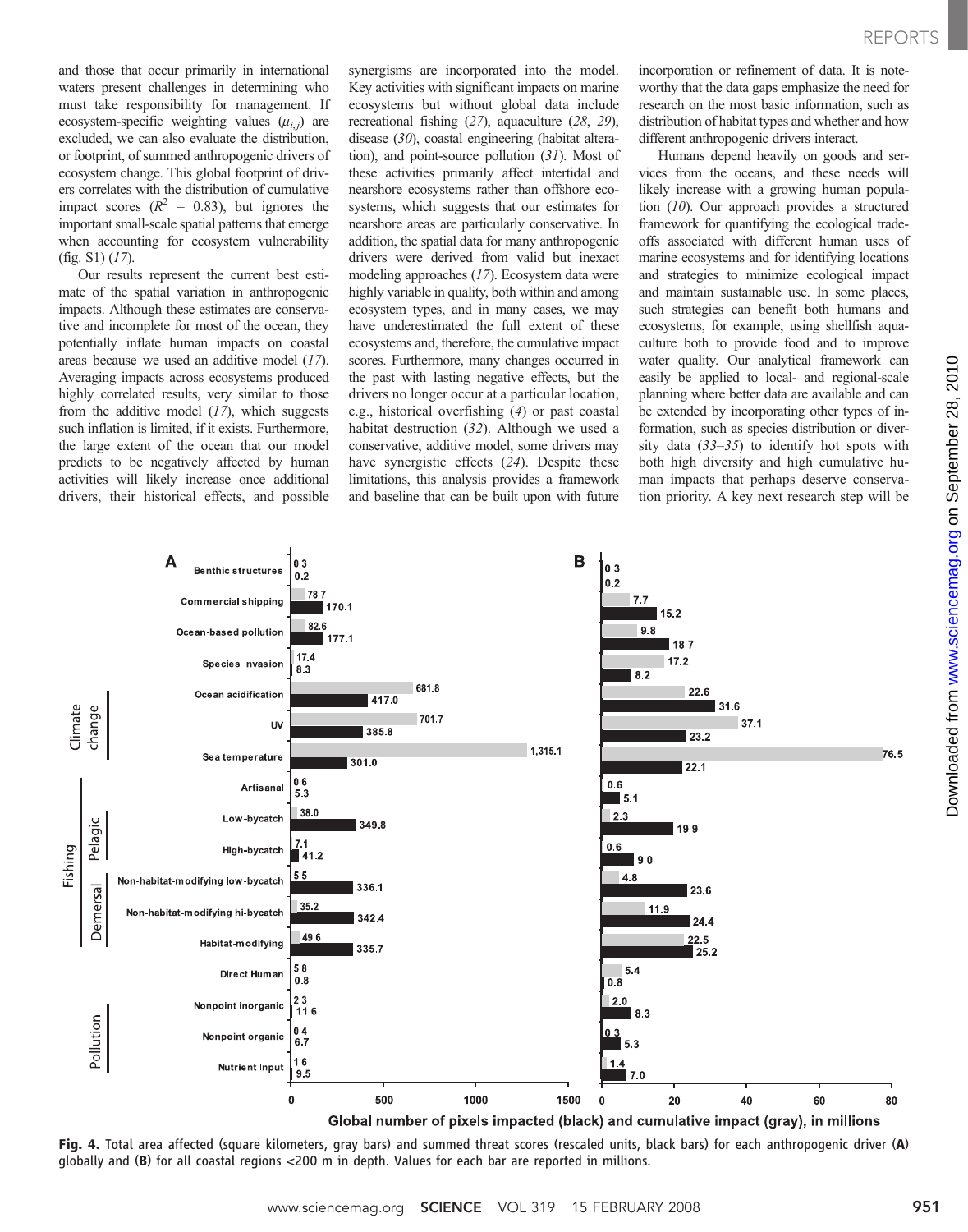and those that occur primarily in international waters present challenges in determining who must take responsibility for management. If ecosystem-specific weighting values  $(\mu_{i,j})$  are excluded, we can also evaluate the distribution, or footprint, of summed anthropogenic drivers of ecosystem change. This global footprint of drivers correlates with the distribution of cumulative impact scores ( $R^2 = 0.83$ ), but ignores the important small-scale spatial patterns that emerge when accounting for ecosystem vulnerability  $(fig. S1)$   $(17)$ .

Our results represent the current best estimate of the spatial variation in anthropogenic impacts. Although these estimates are conservative and incomplete for most of the ocean, they potentially inflate human impacts on coastal areas because we used an additive model (17). Averaging impacts across ecosystems produced highly correlated results, very similar to those from the additive model (17), which suggests such inflation is limited, if it exists. Furthermore, the large extent of the ocean that our model predicts to be negatively affected by human activities will likely increase once additional drivers, their historical effects, and possible

synergisms are incorporated into the model. Key activities with significant impacts on marine ecosystems but without global data include recreational fishing (27), aquaculture (28, 29), disease (30), coastal engineering (habitat alteration), and point-source pollution (31). Most of these activities primarily affect intertidal and nearshore ecosystems rather than offshore ecosystems, which suggests that our estimates for nearshore areas are particularly conservative. In addition, the spatial data for many anthropogenic drivers were derived from valid but inexact modeling approaches (17). Ecosystem data were highly variable in quality, both within and among ecosystem types, and in many cases, we may have underestimated the full extent of these ecosystems and, therefore, the cumulative impact scores. Furthermore, many changes occurred in the past with lasting negative effects, but the drivers no longer occur at a particular location, e.g., historical overfishing (4) or past coastal habitat destruction (32). Although we used a conservative, additive model, some drivers may have synergistic effects (24). Despite these limitations, this analysis provides a framework and baseline that can be built upon with future

incorporation or refinement of data. It is noteworthy that the data gaps emphasize the need for research on the most basic information, such as distribution of habitat types and whether and how different anthropogenic drivers interact.

Humans depend heavily on goods and services from the oceans, and these needs will likely increase with a growing human population (10). Our approach provides a structured framework for quantifying the ecological tradeoffs associated with different human uses of marine ecosystems and for identifying locations and strategies to minimize ecological impact and maintain sustainable use. In some places, such strategies can benefit both humans and ecosystems, for example, using shellfish aquaculture both to provide food and to improve water quality. Our analytical framework can easily be applied to local- and regional-scale planning where better data are available and can be extended by incorporating other types of information, such as species distribution or diversity data  $(33-35)$  to identify hot spots with both high diversity and high cumulative human impacts that perhaps deserve conservation priority. A key next research step will be



Fig. 4. Total area affected (square kilometers, gray bars) and summed threat scores (rescaled units, black bars) for each anthropogenic driver (A) globally and (B) for all coastal regions <200 m in depth. Values for each bar are reported in millions.